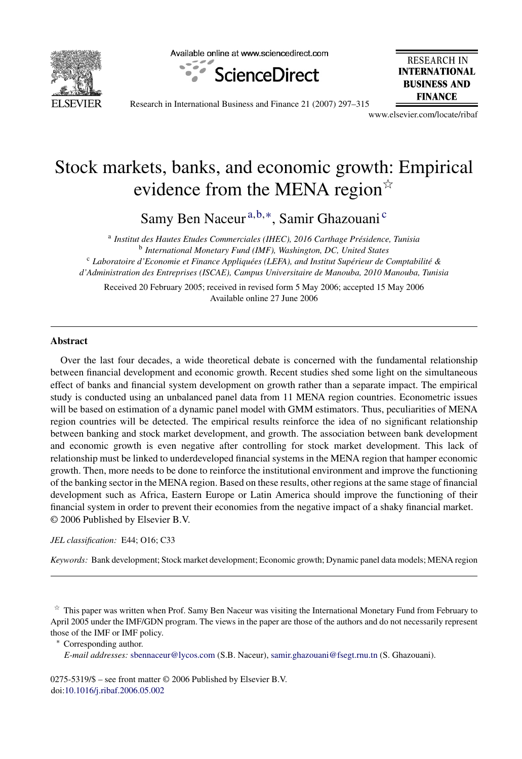

Available online at www.sciencedirect.com



**RESEARCH IN INTERNATIONAL BUSINESS AND FINANCE** 

Research in International Business and Finance 21 (2007) 297–315

www.elsevier.com/locate/ribaf

# Stock markets, banks, and economic growth: Empirical evidence from the MENA region $\dot{\mathbb{R}}$

Samy Ben Naceur<sup>a,b,∗</sup>, Samir Ghazouani<sup>c</sup>

<sup>a</sup> Institut des Hautes Etudes Commerciales (IHEC), 2016 Carthage Présidence, Tunisia <sup>b</sup> *International Monetary Fund (IMF), Washington, DC, United States* <sup>c</sup> Laboratoire d'Economie et Finance Appliquées (LEFA), and Institut Supérieur de Comptabilité & *d'Administration des Entreprises (ISCAE), Campus Universitaire de Manouba, 2010 Manouba, Tunisia*

Received 20 February 2005; received in revised form 5 May 2006; accepted 15 May 2006 Available online 27 June 2006

### **Abstract**

Over the last four decades, a wide theoretical debate is concerned with the fundamental relationship between financial development and economic growth. Recent studies shed some light on the simultaneous effect of banks and financial system development on growth rather than a separate impact. The empirical study is conducted using an unbalanced panel data from 11 MENA region countries. Econometric issues will be based on estimation of a dynamic panel model with GMM estimators. Thus, peculiarities of MENA region countries will be detected. The empirical results reinforce the idea of no significant relationship between banking and stock market development, and growth. The association between bank development and economic growth is even negative after controlling for stock market development. This lack of relationship must be linked to underdeveloped financial systems in the MENA region that hamper economic growth. Then, more needs to be done to reinforce the institutional environment and improve the functioning of the banking sector in the MENA region. Based on these results, other regions at the same stage of financial development such as Africa, Eastern Europe or Latin America should improve the functioning of their financial system in order to prevent their economies from the negative impact of a shaky financial market. © 2006 Published by Elsevier B.V.

#### *JEL classification:* E44; O16; C33

*Keywords:* Bank development; Stock market development; Economic growth; Dynamic panel data models; MENA region

 $*$  This paper was written when Prof. Samy Ben Naceur was visiting the International Monetary Fund from February to April 2005 under the IMF/GDN program. The views in the paper are those of the authors and do not necessarily represent those of the IMF or IMF policy.

∗ Corresponding author.

*E-mail addresses:* [sbennaceur@lycos.com](mailto:sbennaceur@lycos.com) (S.B. Naceur), [samir.ghazouani@fsegt.rnu.tn](mailto:samir.ghazouani@fsegt.rnu.tn) (S. Ghazouani).

0275-5319/\$ – see front matter © 2006 Published by Elsevier B.V. doi[:10.1016/j.ribaf.2006.05.002](dx.doi.org/10.1016/j.ribaf.2006.05.002)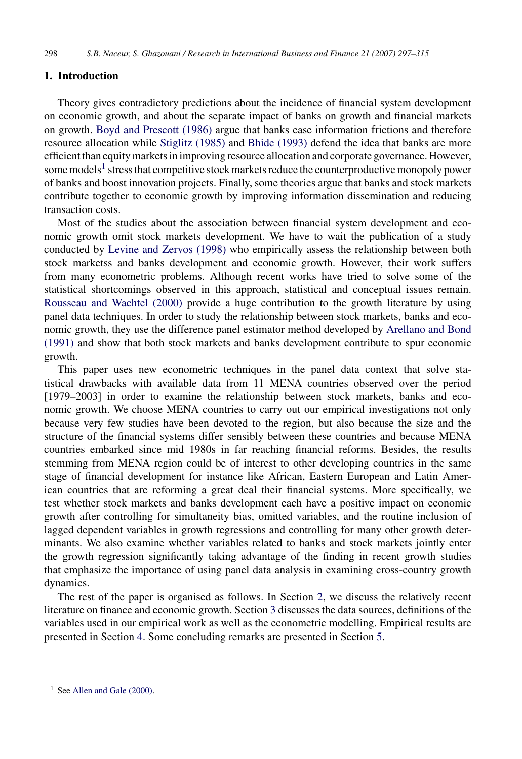### **1. Introduction**

Theory gives contradictory predictions about the incidence of financial system development on economic growth, and about the separate impact of banks on growth and financial markets on growth. [Boyd and Prescott \(1986\)](#page--1-0) argue that banks ease information frictions and therefore resource allocation while [Stiglitz \(1985\)](#page--1-0) and [Bhide \(1993\)](#page--1-0) defend the idea that banks are more efficient than equity markets in improving resource allocation and corporate governance. However, some models<sup>1</sup> stress that competitive stock markets reduce the counterproductive monopoly power of banks and boost innovation projects. Finally, some theories argue that banks and stock markets contribute together to economic growth by improving information dissemination and reducing transaction costs.

Most of the studies about the association between financial system development and economic growth omit stock markets development. We have to wait the publication of a study conducted by [Levine and Zervos \(1998\)](#page--1-0) who empirically assess the relationship between both stock marketss and banks development and economic growth. However, their work suffers from many econometric problems. Although recent works have tried to solve some of the statistical shortcomings observed in this approach, statistical and conceptual issues remain. [Rousseau and Wachtel \(2000\)](#page--1-0) provide a huge contribution to the growth literature by using panel data techniques. In order to study the relationship between stock markets, banks and economic growth, they use the difference panel estimator method developed by [Arellano and Bond](#page--1-0) [\(1991\)](#page--1-0) and show that both stock markets and banks development contribute to spur economic growth.

This paper uses new econometric techniques in the panel data context that solve statistical drawbacks with available data from 11 MENA countries observed over the period [1979–2003] in order to examine the relationship between stock markets, banks and economic growth. We choose MENA countries to carry out our empirical investigations not only because very few studies have been devoted to the region, but also because the size and the structure of the financial systems differ sensibly between these countries and because MENA countries embarked since mid 1980s in far reaching financial reforms. Besides, the results stemming from MENA region could be of interest to other developing countries in the same stage of financial development for instance like African, Eastern European and Latin American countries that are reforming a great deal their financial systems. More specifically, we test whether stock markets and banks development each have a positive impact on economic growth after controlling for simultaneity bias, omitted variables, and the routine inclusion of lagged dependent variables in growth regressions and controlling for many other growth determinants. We also examine whether variables related to banks and stock markets jointly enter the growth regression significantly taking advantage of the finding in recent growth studies that emphasize the importance of using panel data analysis in examining cross-country growth dynamics.

The rest of the paper is organised as follows. In Section [2,](#page--1-0) we discuss the relatively recent literature on finance and economic growth. Section [3](#page--1-0) discusses the data sources, definitions of the variables used in our empirical work as well as the econometric modelling. Empirical results are presented in Section [4. S](#page--1-0)ome concluding remarks are presented in Section [5.](#page--1-0)

 $1$  See [Allen and Gale \(2000\).](#page--1-0)